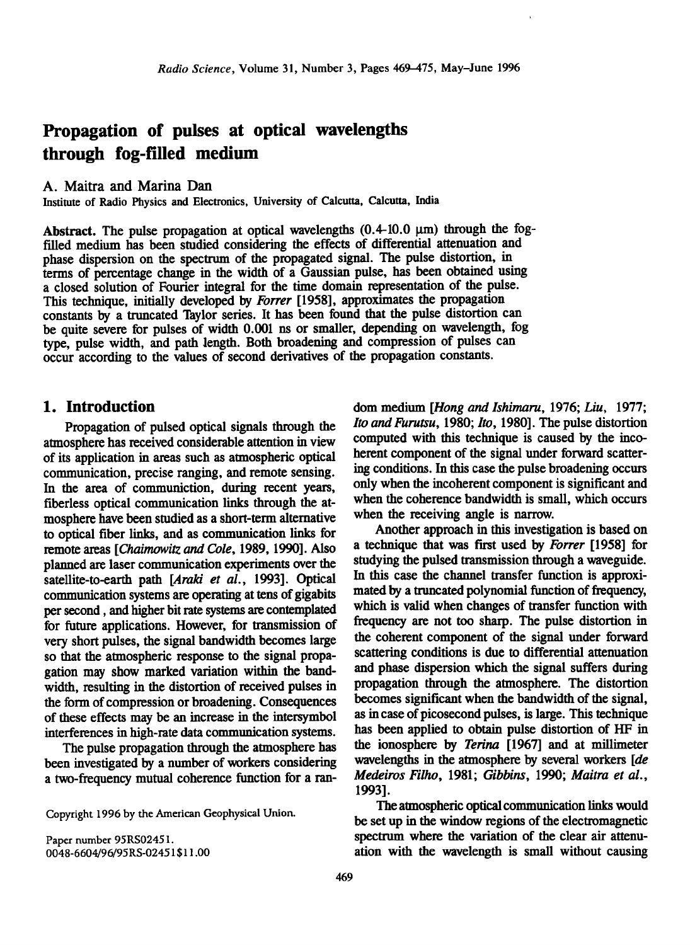# **Propagation of pulses at optical wavelengths through fog-filled medium**

#### **A. Maitra and Marina Dan**

**Institute of Radio Physics and Electronics, University of Calcutta, Calcutta, India** 

Abstract. The pulse propagation at optical wavelengths  $(0.4\n-10.0 \mu m)$  through the fog**filled medium has been studied considering the effects of differential attenuation and**  phase dispersion on the spectrum of the propagated signal. The pulse distortion, in **terms of percentage change in the width of a Gaussian pulse, has been obtained using a closed solution of Fourier integral for the time domain representation of the pulse. This technique, initially developed by Forrer [1958], approximates the propagation constants bya truncated Taylor series. It has been found that the pulse distortion can be quite severe for pulses of width 0.001 ns or smaller, depending on wavelength, fog type, pulse width, and path length. Both broadening and compression of pulses can occur according to the values of second erivatives of the propagation constants.** 

#### **1. Introduction**

**Propagation of pulsed optical signals through the atmosphere has received considerable attention in view of its application in areas such as atmospheric optical communication, precise ranging, and remote sensing. In the area of communiction, during recent years, fiberless optical communication links through the atmosphere have been studied as a short-term alternative to optical fiber links, and as communication links for remote areas [Chaimowitz and Cole, 1989, 1990]. Also planned are laser communication experiments over the satellite-to-earth path [Araki et al., 1993]. Optical communication systems are operating at tens of gigabits per second, and higher bit rate systems are contemplated for future applications. However, for transmission of very short pulses, the signal bandwidth becomes large so that the atmospheric response to the signal propagation may show marked variation within the bandwidth, resulting in the distortion of received pulses in the form of compression or broadening. Consequences of these effects may be an increase in the intersymbol interferences in high-rate data communication systems.** 

**The pulse propagation through the atmosphere has been investigated by a number of workers considering a two-frequency mutual coherence function for a ran-**

**Copyright 1996 by the American Geophysical Union.** 

**Paper number 95RS02451. 0048-6604/96/95RS-02451 \$11.00**  **dom medium [Hong and Ishimaru, 1976; Liu, 1977; Ito and Furutsu, 1980; Ito, 1980]. The pulse distortion computed with this technique is caused by the incoherent component of the signal under forward scattering conditions. In this case the pulse broadening occurs only when the incoherent component is significant and when the coherence bandwidth is small, which occurs when the receiving angle is narrow.** 

**Another approach in this investigation is based on a technique that was first used by Forrer [1958] for studying the pulsed transmission through a waveguide. In this case the channel transfer function is approximated by a truncated polynomial function of frequency, which is valid when changes of transfer function with frequency are not too sharp. The pulse distortion in the coherent component of the signal under forward scattering conditions is due to differential attenuation and phase dispersion which the signal suffers during propagation through the atmosphere. The distortion becomes significant when the bandwidth of the signal, as in case of picosecond pulses, is large. This technique has been applied to obtain pulse distortion of HF in the ionosphere by Terina [1967] and at millimeter wavelengths in the atmosphere by several workers [de Medeiros Filho, 1981; Gibbins, 1990; Maitra et al., 1993].** 

**The atmospheric optical communication links would be set up in the window regions of the electromagnetic spectrum where the variation of the clear air attenuation with the wavelength is small without causing**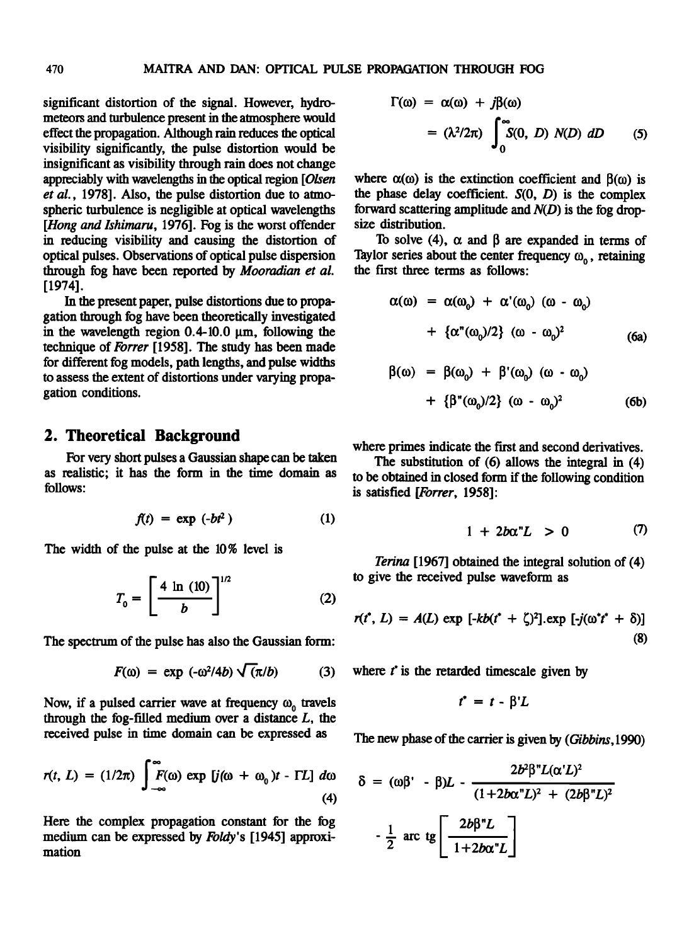**significant distortion of the signal. However, hydrometeors and turbulence present in the atmosphere would effect the propagation. Although rain reduces the optical visibility significantly, the pulse distortion would be insignificant as visibility through rain does not change appreciably with wavelengths in the optical region [Olsen et al., 1978]. Also, the pulse distortion due to atmospheric turbulence is negligible at optical wavelengths [Hong and Ishimaru, 1976]. Fog is the worst offender in reducing visibility and causing the distortion of optical pulses. Observations of optical pulse dispersion through fog have been reported by Mooradian et al. [1974].** 

**In the present paper, pulse distortions due to propagation through fog have been theoretically investigated**  in the wavelength region 0.4-10.0  $\mu$ m, following the **technique of Forrer [1958]. The study has been made for different fog models, path lengths, and pulse widths to assess the extent of distortions under varying propagation conditions.** 

#### **2. Theoretical Background**

**For very short pulses a Gaussian shape can be taken as realistic; it has the form in the time domain as follows:** 

$$
f(t) = \exp(-bt^2)
$$
 (1)

**The width of the pulse at the 10% level is** 

$$
T_0 = \left[\frac{4 \ln (10)}{b}\right]^{1/2} \tag{2}
$$

**The spectrum of the pulse has also the Gaussian form:** 

$$
F(\omega) = \exp(-\omega^2/4b) \sqrt{(\pi/b)} \tag{3}
$$

Now, if a pulsed carrier wave at frequency  $\omega_0$  travels through the fog-filled medium over a distance  $L$ , the **received pulse in time domain can be expressed as** 

$$
r(t, L) = (1/2\pi) \int_{-\infty}^{\infty} F(\omega) \exp [j(\omega + \omega_0)t - \Gamma L] d\omega
$$
\n(4)

**Here the complex propagation constant for the fog medium can be expressed by Foldy's [1945] approximation** 

$$
\Gamma(\omega) = \alpha(\omega) + j\beta(\omega)
$$
  
=  $(\lambda^2/2\pi) \int_0^\infty S(0, D) N(D) dD$  (5)

where  $\alpha(\omega)$  is the extinction coefficient and  $\beta(\omega)$  is the phase delay coefficient.  $S(0, D)$  is the complex **forward scattering amplitude and N(D) is the fog dropsize distribution.** 

To solve (4),  $\alpha$  and  $\beta$  are expanded in terms of Taylor series about the center frequency  $\omega_0$ , retaining **the first three terms as follows:** 

$$
\alpha(\omega) = \alpha(\omega_0) + \alpha'(\omega_0) (\omega - \omega_0)
$$
  
+ { $\alpha''(\omega_0)/2$ } ( $\omega - \omega_0$ )<sup>2</sup> (6a)

$$
\beta(\omega) = \beta(\omega_0) + \beta'(\omega_0) (\omega - \omega_0)
$$
  
+ { $\beta''(\omega_0)/2$ } (\omega - \omega\_0)^2 (6b)

**where primes indicate the first and second derivatives.** 

**The substitution of (6) allows the integral in (4) to be obtained in closed form if the following condition is satisfied [Forrer, 1958]:** 

$$
1 + 2b\alpha^n L > 0 \qquad \qquad (7)
$$

**Terina [1967] obtained the integral solution of (4) to give the received pulse waveform as** 

$$
r(t^*, L) = A(L) \exp \left[ -kb(t^* + \zeta)^2 \right]. \exp \left[ -j(\omega^* t^* + \delta) \right] \tag{8}
$$

where  $t^*$  is the retarded timescale given by

$$
t^* = t - \beta' L
$$

**The new phase of the carrier is given by (Gibbins, 1990)** 

$$
\delta = (\omega \beta' - \beta)L - \frac{2b^2 \beta'' L(\alpha' L)^2}{(1 + 2b\alpha'' L)^2 + (2b\beta'' L)^2}
$$

$$
-\frac{1}{2} \text{ arc } \text{tg} \left[ \frac{2b\beta'' L}{1 + 2b\alpha'' L} \right]
$$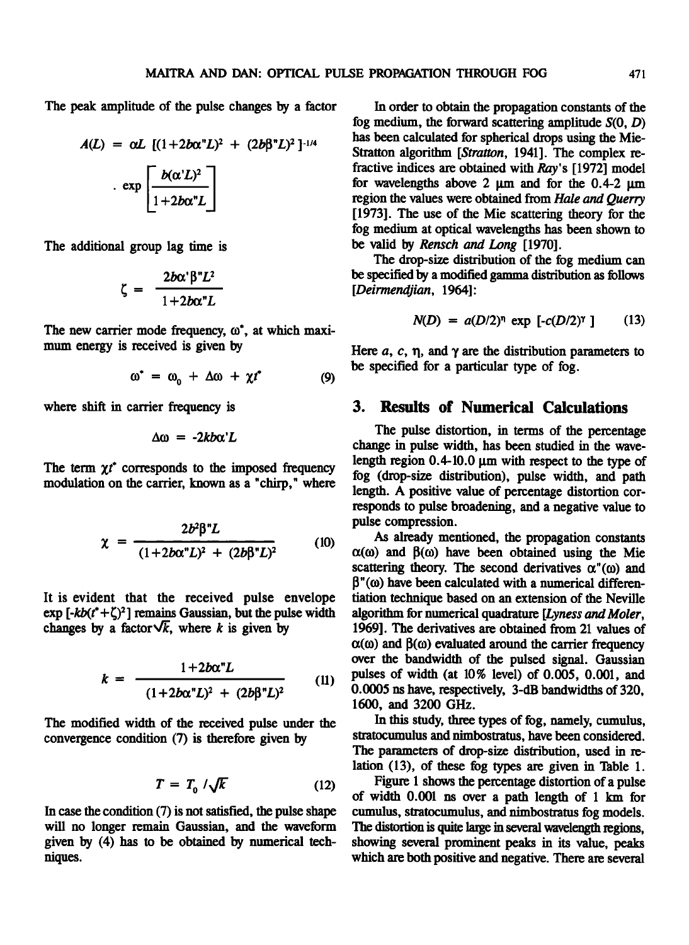**The peak amplitude of the pulse changes by a factor** 

$$
A(L) = \alpha L \left[ (1 + 2b\alpha^{n}L)^{2} + (2b\beta^{n}L)^{2} \right]^{-1/4}
$$

$$
\exp \left[ \frac{b(\alpha^{n}L)^{2}}{1 + 2b\alpha^{n}L} \right]
$$

**The additional group lag time is** 

$$
\zeta = \frac{2b\alpha^{\prime}\beta^{\prime\prime}L^2}{1+2b\alpha^{\prime\prime}L}
$$

The new carrier mode frequency,  $\omega^*$ , at which maxi**mum energy is received is given by** 

$$
\omega^* = \omega_0 + \Delta \omega + \chi t^* \tag{9}
$$

**where shift in carrier frequency is** 

$$
\Delta\omega = -2kb\alpha'L
$$

The term  $\gamma t^*$  corresponds to the imposed frequency **modulation on the carrier, known as a "chirp," where** 

$$
\chi = \frac{2b^2\beta^2L}{(1+2b\alpha^2L)^2 + (2b\beta^2L)^2}
$$
 (10)

**It is evident that the received pulse envelope**   $\exp\left[-kb(t^*+\zeta)^2\right]$  remains Gaussian, but the pulse width changes by a factor $\sqrt{k}$ , where k is given by

$$
k = \frac{1 + 2b\alpha^{n}L}{(1 + 2b\alpha^{n}L)^{2} + (2b\beta^{n}L)^{2}}
$$
 (11)

**The modified width of the received pulse under the convergence condition (7) is therefore given by** 

$$
T = T_0 / \sqrt{k} \tag{12}
$$

**In case the condition (7) is not satisfied, the pulse shape will no longer remain Gaussian, and the waveform given by (4) has to be obtained by numerical techniques.** 

**In order to obtain the propagation constants of the fog medium, the forward scattering amplitude S(0, D) has been calculated for spherical drops using the Mie-**Stratton algorithm [Stratton, 1941]. The complex re**fractive indices are obtained with Ray's [1972] model**  for wavelengths above 2 um and for the 0.4-2 um **region the values were obtained from Hale and Querry [1973]. The use of the Mie scattering theory for the fog medium at optical wavelengths has been shown to be valid by Rensch and Long [1970].** 

**The drop-size distribution of the fog medium can be specified by a modified gamma distribution as follows [Deirmendjian, 1964]:** 

$$
N(D) = a(D/2)^{n} \exp [ -c(D/2)^{r} ] \qquad (13)
$$

Here  $a$ ,  $c$ ,  $\eta$ , and  $\gamma$  are the distribution parameters to **be specified for a particular type of fog.** 

## **3. Results of Numerical Calculations**

**The pulse distortion, in terms of the percentage change in pulse width, has been studied in the wave**length region 0.4-10.0  $\mu$ m with respect to the type of **fog (drop-size distribution), pulse width, and path length. A positive value of percentage distortion corresponds to pulse broadening, and a negative value to pulse compression.** 

**As already mentioned, the propagation constants**   $\alpha(\omega)$  and  $\beta(\omega)$  have been obtained using the Mie scattering theory. The second derivatives  $\alpha''(\omega)$  and  $β''(ω)$  have been calculated with a numerical differen**tiation technique based on an extension of the Neville algorithm for numerical quadrature [Lyness and Moler, 1969]. The derivatives are obtained from 21 values of**   $\alpha(\omega)$  and  $\beta(\omega)$  evaluated around the carrier frequency **over the bandwidth of the pulsed signal. Gaussian pulses of width (at 10% level) of 0.005, 0.001, and 0.0005 ns have, respectively, 3-dB bandwidths of 320, 1600, and 3200 GHz.** 

**In this study, three types of fog, namely, cumulus,**  stratocumulus and nimbostratus, have been considered. **The parameters of drop-size distribution, used in relation (13), of these fog types are given in Table 1.** 

**Figure 1 shows the percentage distortion of a pulse of width 0.001 ns over a path length of 1 km for cumulus, stratocumulus, and nimbostrams fog models. The distortion isquite large in several wavelength regions, showing several prominent peaks in its value, peaks which are both positive and negative. There are several**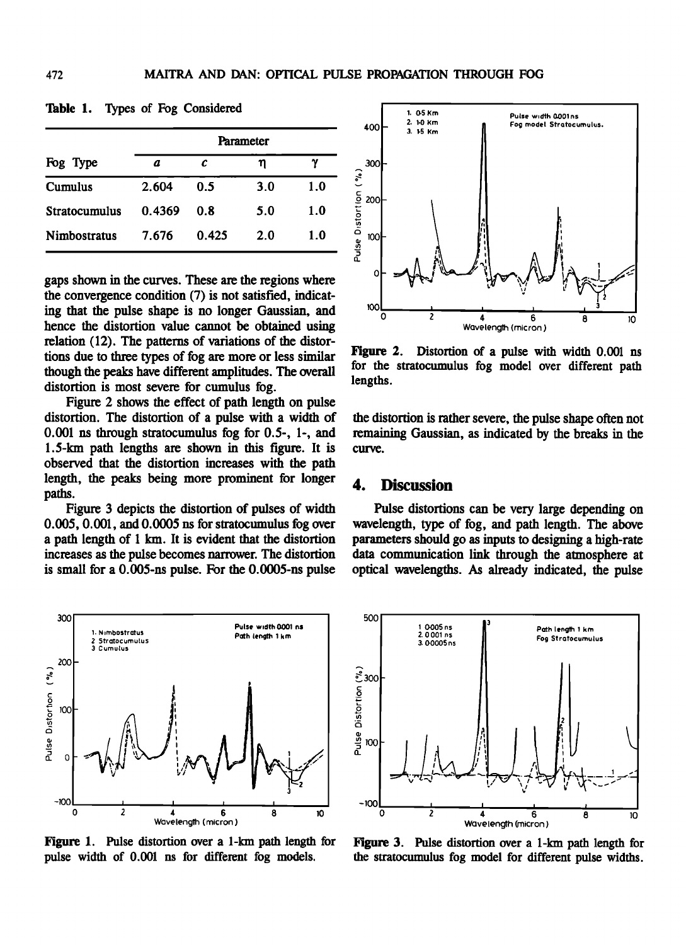| Fog Type             | Parameter |       |     |     |
|----------------------|-----------|-------|-----|-----|
|                      | a         | c     | η   | γ   |
| Cumulus              | 2.604     | 0.5   | 3.0 | 1.0 |
| <b>Stratocumulus</b> | 0.4369    | 0. R  | 5.0 | 1.0 |
| <b>Nimbostratus</b>  | 7.676     | 0.425 | 20  | 1.0 |

**Table 1. Types of Fog Considered** 

**gaps shown in the curves. These are the regions where the convergence condition (7) is not satisfied, indicating that the pulse shape is no longer Gaussian, and hence the distortion value cannot be obtained using**  relation (12). The patterns of variations of the distor**tions due to three types of fog are more or less similar though the peaks have different amplitudes. The overall distortion is most severe for cumulus fog.** 

**Figure 2 shows the effect of path length on pulse distortion. The distortion of a pulse with a width of 0.001 ns through stratocumulus fog for 0.5-, 1-, and 1.5-km path lengths are shown in this figure. It is observed that the distortion increases with the path length, the peaks being more prominent for longer paths.** 

**Figure 3 depicts the distortion of pulses of width 0.005, 0.001, and 0.0005 ns for stratocumulus fog over**  a path length of 1 km. It is evident that the distortion **increases as the pulse becomes narrower. The distortion is small for a 0.005-ns pulse. For the 0.0005-ns pulse** 



**Figure 1. Pulse distortion over a 1-km path length for pulse width of 0.001 ns for different fog models.** 



**Figure 2. Distortion of a pulse with width 0.001 ns for the stratocumulus fog model over different path lengths.** 

**the distortion is rather severe, the pulse shape often not remaining Gaussian, as indicated by the breaks in the**  curve.

### **4. Discussion**

**Pulse distortions can be very large depending on wavelength, type of fog, and path length. The above parameters hould go as inputs to designing ahigh-rate data communication link through the atmosphere at optical wavelengths. As already indicated, the pulse** 



**Figure 3.** Pulse distortion over a 1-km path length for **the stratocumulus fog model for different pulse widths.**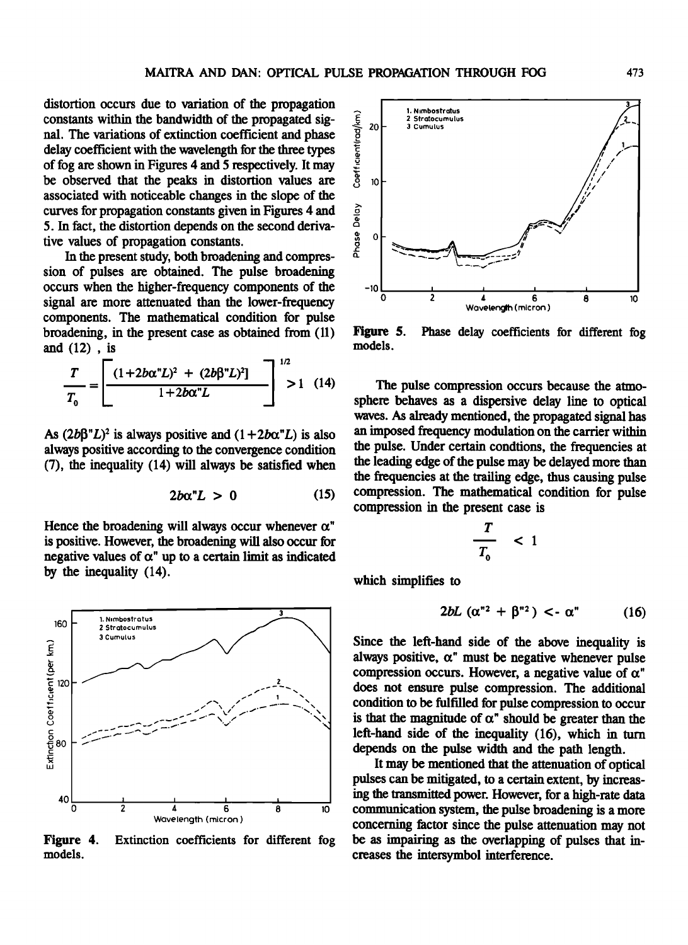**distortion occurs due to variation of the propagation**  constants within the bandwidth of the propagated sig-<br>rel. The invisions of extinction coefficient and phase **nal. The variations of extinction coefficient and phase delay coefficient with the wavelength for the three types of fog are shown in Figures 4 and 5 respectively. It may be observed that the peaks in distortion values are associated with noticeable changes in the slope of the curves for propagation constants given in Figures 4 and 5. In fact, the distortion depends on the second derivative values of propagation constants.** 

**In the present study, both broadening and compression of pulses are obtained. The pulse broadening occurs when the higher-frequency components of the signal are more attenuated than the lower-frequency components. The mathematical condition for pulse broadening, in the present case as obtained from (11) and (12) , is** 

$$
\frac{T}{T_0} = \left[ \frac{(1+2b\alpha^2L)^2 + (2b\beta^2L)^2}{1+2b\alpha^2L} \right]^{1/2} > 1 \quad (14)
$$
 sph

As  $(2b\beta''L)^2$  is always positive and  $(1+2b\alpha''L)$  is also **always positive according to the convergence condition (7), the inequality (14) will always be satisfied when** 

$$
2b\alpha^n L > 0 \qquad (15)
$$

Hence the broadening will always occur whenever  $\alpha$ <sup>"</sup> **is positive. However, the broadening will also occur for**  negative values of  $\alpha$ " up to a certain limit as indicated **by the inequality (14).** 



**Figure 4. models. Extinction coefficients for different fog** 



**Figure 5. Phase delay coefficients for different fog models.** 

**The pulse compression occurs because the atmosphere behaves as a dispersive delay line to optical waves. As already mentioned, the propagated signal has an imposed frequency modulation on the carrier within the pulse. Under certain condtions, the frequencies at the leading edge of the pulse may be delayed more than the frequencies atthe trailing edge, thus causing pulse compression. The mathematical condition for pulse compression in the present case is** 

$$
\frac{T}{T_0} < 1
$$

**which simplifies to** 

$$
2bL\left(\alpha^{n2}+\beta^{n2}\right)<\alpha^{n}\qquad\qquad(16)
$$

**Since the left-hand side of the above inequality is**  always positive,  $\alpha$ <sup>"</sup> must be negative whenever pulse compression occurs. However, a negative value of  $\alpha$ <sup>"</sup> **does not ensure pulse compression. The additional condition to be fulfilled for pulse compression to occur**  is that the magnitude of  $\alpha^{\prime\prime}$  should be greater than the **left-hand side of the inequality (16), which in turn depends on the pulse width and the path length.** 

**It may be mentioned that the attenuation of optical pulses can be mitigated, to a certain extent, by increasing the transmitted power. However, for a high-rate data**  communication system, the pulse broadening is a more **concerning factor since the pulse attenuation may not be as impairing as the overlapping of pulses that increases the intersymbol interference.**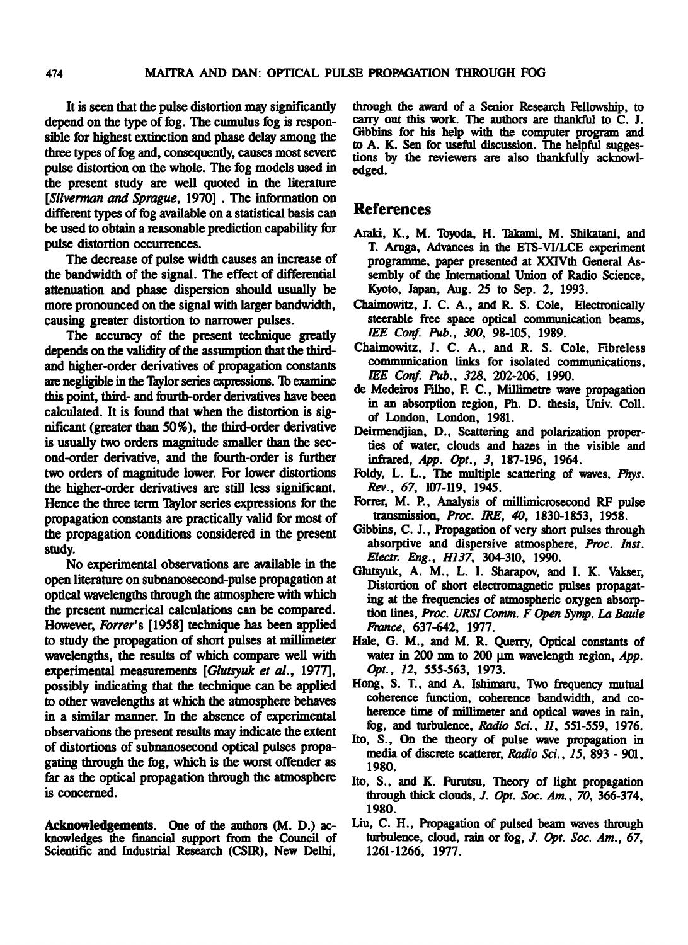**It is seen that the pulse distortion may significantly depend on the type of fog. The cumulus fog is responsible for highest extinction and phase delay among the three types of fog and, consequently, causes most severe pulse distortion on the whole. The fog models used in the present study are well quoted in the literature [Silverman and Sprague, 1970] . The information on different types of fog available on a statistical basis can be used to obtain a reasonable prediction capability for pulse distortion occurrences.** 

**The decrease of pulse width causes an increase of the bandwidth of the signal. The effect of differential attenuation and phase dispersion should usually be more pronounced on the signal with larger bandwidth, causing greater distortion to narrower pulses.** 

**The accuracy of the present technique greatly depends on the validity of the assumption that the thirdand higher-order derivatives of propagation constants**  are negligible in the Taylor series expressions. To examine **this point, third- and fourth-order derivatives have been calculated. It is found that when the distortion is significant (greater than 50%), the third-order derivative is usually two orders magnitude smaller than the second-order derivative, and the fourth-order is further two orders of magnitude lower. For lower distortions the higher-order derivatives are still less significant. Hence the three term Taylor series expressions for the propagation constants are practically valid for most of the propagation conditions considered in the present study.** 

**No experimental observations are available in the open literature on subnanosecond-pulse propagation at optical wavelengths through the atmosphere with which the present numerical calculations can be compared. However, Forrer's [1958] technique has been applied to study the propagation of short pulses at millimeter wavelengths, the results of which compare well with experimental measurements [Glutsyuk et al., 1977], possibly indicating that the technique can be applied to other wavelengths atwhich the atmosphere behaves in a similar manner. In the absence of experimental observations the present results may indicate the extent of distortions of subnanosecond optical pulses propagating through the fog, which is the worst offender as far as the optical propagation through the atmosphere is concerned.** 

Acknowledgements. One of the authors (M. D.) ac**knowledges the financial support from the Council of Scientific and Industrial Research (CSIR), New Delhi,** 

**through the award of a Senior Research Fellowship, to carry out this work. The authors are thankful to C. J. Gibbins for his help with the computer program and to A. K. Sen for useful discussion. The helpful suggestions by the reviewers are also thankfully acknowledged.** 

#### **References**

- **Araki, K., M. Toyoda, H. Takami, M. Shikatani, and T. Amga, Advances in the ETS-VI/LCE experiment programme, paper presented at XXIVth General Assembly of the International Union of Radio Science, Kyoto, Japan, Aug. 25 to Sep. 2, 1993.**
- **Chaimowitz, J. C. A., and R. S. Cole, Electronically steerable free space optical communication beams, lEE Conf. Pub., 300, 98-105, 1989.**
- **Chaimowitz, J. C. A., and R. S. Cole, Fibreless communication links for isolated communications, IEE Conf. Pub., 328, 202-206, 1990.**
- **de Medeiros Filho, F. C., Millimetre wave propagation in an absorption region, Ph.D. thesis, Univ. Coll. of London, London, 1981.**
- **Deirmendjian, D., Scattering and polarization properties of water, clouds and hazes in the visible and infrared, App. Opt., 3, 187-196, 1964.**
- **Foldy, L. L., The multiple scattering of waves, Phys. Rev., 67, 107-119, 1945.**
- **Forrer, M. P., Analysis of millimicrosecond RF pulse transmission, Proc. /RE, 40, 1830-1853, 1958.**
- Gibbins, C. J., Propagation of very short pulses through **absorptive and dispersive atmosphere, Proc. Inst. Electr. Eng., HI37, 304-310, 1990.**
- **Glutsyuk, A.M., L. I. Sharapov, and I. K. Vakser, Distortion of short electromagnetic pulses propagating at the frequencies of atmospheric oxygen absorp**tion lines, Proc. URSI Comm. F Open Symp. La Baule **France, 637-642, 1977.**
- **Hale, G. M., and M. R. Querry, Optical constants of**  water in 200 nm to 200 µm wavelength region, App. **Opt., 12, 555-563, 1973.**
- **Hong, S. T, and A. Ishimam, Two frequency mutual coherence function, coherence bandwidth, and co**herence time of millimeter and optical waves in rain, **fog, and turbulence, Radio Sci., 11, 551-559, 1976.**
- **Ito, S., On the theory of pulse wave propagation in media of discrete scatterer, Radio Sci., 15, 893 - 901, 1980.**
- **Ito, S., and K. Furutsu, Theory of light propagation through thick clouds, J. Opt. Soc. Am., 70, 366-374, 1980.**
- **Liu, C. H., Propagation of pulsed beam waves through turbulence, cloud, rain or fog, J. Opt. Soc. Am., 67, 1261-1266, 1977.**